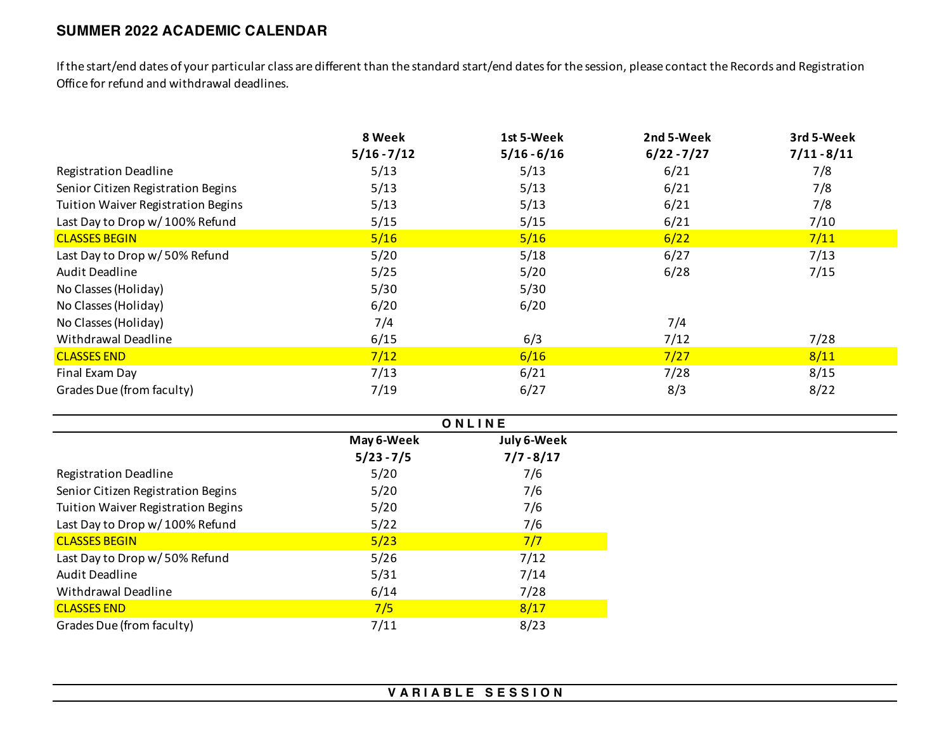## **SUMMER 2022 ACADEMIC CALENDAR**

If the start/end dates of your particular class are different than the standard start/end dates for the session, please contact the Records and Registration Office for refund and withdrawal deadlines.

|                                           | 8 Week        | 1st 5-Week    | 2nd 5-Week    | 3rd 5-Week    |
|-------------------------------------------|---------------|---------------|---------------|---------------|
|                                           | $5/16 - 7/12$ | $5/16 - 6/16$ | $6/22 - 7/27$ | $7/11 - 8/11$ |
| <b>Registration Deadline</b>              | 5/13          | 5/13          | 6/21          | 7/8           |
| Senior Citizen Registration Begins        | 5/13          | 5/13          | 6/21          | 7/8           |
| <b>Tuition Waiver Registration Begins</b> | 5/13          | 5/13          | 6/21          | 7/8           |
| Last Day to Drop w/ 100% Refund           | 5/15          | 5/15          | 6/21          | 7/10          |
| <b>CLASSES BEGIN</b>                      | 5/16          | 5/16          | 6/22          | 7/11          |
| Last Day to Drop w/50% Refund             | 5/20          | 5/18          | 6/27          | 7/13          |
| Audit Deadline                            | 5/25          | 5/20          | 6/28          | 7/15          |
| No Classes (Holiday)                      | 5/30          | 5/30          |               |               |
| No Classes (Holiday)                      | 6/20          | 6/20          |               |               |
| No Classes (Holiday)                      | 7/4           |               | 7/4           |               |
| Withdrawal Deadline                       | 6/15          | 6/3           | 7/12          | 7/28          |
| <b>CLASSES END</b>                        | 7/12          | 6/16          | 7/27          | 8/11          |
| Final Exam Day                            | 7/13          | 6/21          | 7/28          | 8/15          |
| Grades Due (from faculty)                 | 7/19          | 6/27          | 8/3           | 8/22          |

|                                    | ONLINE       |              |  |
|------------------------------------|--------------|--------------|--|
|                                    | May 6-Week   | July 6-Week  |  |
|                                    | $5/23 - 7/5$ | $7/7 - 8/17$ |  |
| <b>Registration Deadline</b>       | 5/20         | 7/6          |  |
| Senior Citizen Registration Begins | 5/20         | 7/6          |  |
| Tuition Waiver Registration Begins | 5/20         | 7/6          |  |
| Last Day to Drop w/100% Refund     | 5/22         | 7/6          |  |
| <b>CLASSES BEGIN</b>               | 5/23         | 7/7          |  |
| Last Day to Drop w/ 50% Refund     | 5/26         | 7/12         |  |
| <b>Audit Deadline</b>              | 5/31         | 7/14         |  |
| Withdrawal Deadline                | 6/14         | 7/28         |  |
| <b>CLASSES END</b>                 | 7/5          | 8/17         |  |
| Grades Due (from faculty)          | 7/11         | 8/23         |  |